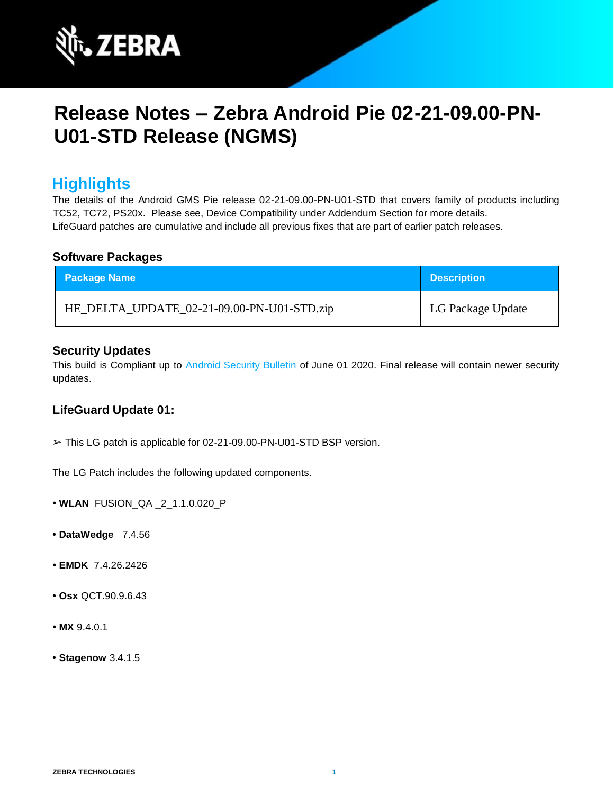

# **Release Notes – Zebra Android Pie 02-21-09.00-PN-U01-STD Release (NGMS)**

# **Highlights**

The details of the Android GMS Pie release 02-21-09.00-PN-U01-STD that covers family of products including TC52, TC72, PS20x. Please see, Device Compatibility under Addendum Section for more details. LifeGuard patches are cumulative and include all previous fixes that are part of earlier patch releases.

#### **Software Packages**

| <b>Package Name</b>                        | <b>Description</b> |
|--------------------------------------------|--------------------|
| HE_DELTA_UPDATE_02-21-09.00-PN-U01-STD.zip | LG Package Update  |

#### **Security Updates**

This build is Compliant up to [Android Security Bulletin](https://source.android.com/security/bulletin/) [of](https://source.android.com/security/bulletin/) June 01 2020. Final release will contain newer security updates.

### **LifeGuard Update 01:**

➢ This LG patch is applicable for 02-21-09.00-PN-U01-STD BSP version.

The LG Patch includes the following updated components.

- **• WLAN** FUSION\_QA \_2\_1.1.0.020\_P
- **• DataWedge** 7.4.56
- **• EMDK** 7.4.26.2426
- **• Osx** QCT.90.9.6.43
- **• MX** 9.4.0.1
- **• Stagenow** 3.4.1.5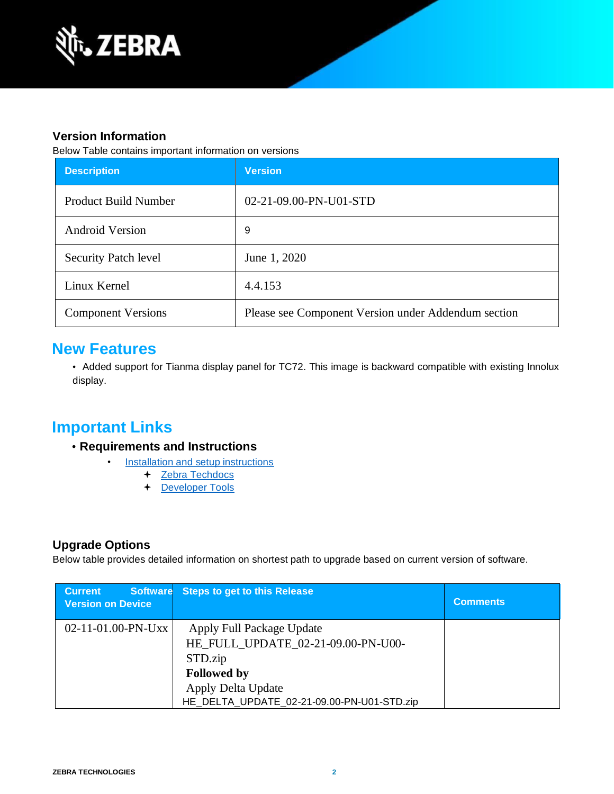

### **Version Information**

Below Table contains important information on versions

| <b>Description</b>          | <b>Version</b>                                      |
|-----------------------------|-----------------------------------------------------|
| <b>Product Build Number</b> | 02-21-09.00-PN-U01-STD                              |
| <b>Android Version</b>      | 9                                                   |
| <b>Security Patch level</b> | June 1, 2020                                        |
| Linux Kernel                | 4.4.153                                             |
| <b>Component Versions</b>   | Please see Component Version under Addendum section |

### **New Features**

• Added support for Tianma display panel for TC72. This image is backward compatible with existing Innolux display.

# **Important Links**

- **Requirements and Instructions** 
	- [Installation and setup instructions](https://www.zebra.com/content/dam/zebra_new_ia/en-us/software/operating-system/helios/pie-os-update-instructions.pdf)
		- + [Zebra Techdocs](https://techdocs.zebra.com/)
		- [Developer Tools](https://developer.zebra.com/)

### **Upgrade Options**

Below table provides detailed information on shortest path to upgrade based on current version of software.

| <b>Current</b><br><b>Software</b><br><b>Version on Device</b> | <b>Steps to get to this Release</b>                                                                                                                                  | <b>Comments</b> |
|---------------------------------------------------------------|----------------------------------------------------------------------------------------------------------------------------------------------------------------------|-----------------|
| $02-11-01.00-PN-UXX$                                          | Apply Full Package Update<br>HE FULL UPDATE 02-21-09.00-PN-U00-<br>STD.zip<br><b>Followed by</b><br>Apply Delta Update<br>HE_DELTA_UPDATE_02-21-09.00-PN-U01-STD.zip |                 |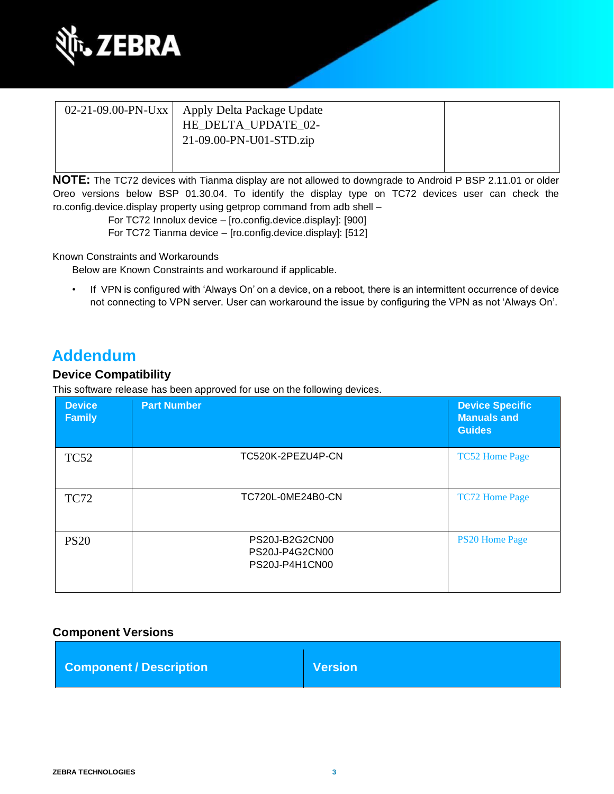

| 02-21-09.00-PN-Uxx   Apply Delta Package Update<br>HE_DELTA_UPDATE_02-<br>21-09.00-PN-U01-STD.zip |  |
|---------------------------------------------------------------------------------------------------|--|
|                                                                                                   |  |

**NOTE:** The TC72 devices with Tianma display are not allowed to downgrade to Android P BSP 2.11.01 or older Oreo versions below BSP 01.30.04. To identify the display type on TC72 devices user can check the ro.config.device.display property using getprop command from adb shell –

> For TC72 Innolux device – [ro.config.device.display]: [900] For TC72 Tianma device – [ro.config.device.display]: [512]

Known Constraints and Workarounds

Below are Known Constraints and workaround if applicable.

• If VPN is configured with 'Always On' on a device, on a reboot, there is an intermittent occurrence of device not connecting to VPN server. User can workaround the issue by configuring the VPN as not 'Always On'.

# **Addendum**

#### **Device Compatibility**

This software release has been approved for use on the following devices.

| <b>Device</b><br><b>Family</b> | <b>Part Number</b>                                 | <b>Device Specific</b><br><b>Manuals and</b><br><b>Guides</b> |
|--------------------------------|----------------------------------------------------|---------------------------------------------------------------|
| <b>TC52</b>                    | TC520K-2PEZU4P-CN                                  | <b>TC52 Home Page</b>                                         |
| <b>TC72</b>                    | TC720L-0ME24B0-CN                                  | <b>TC72 Home Page</b>                                         |
| <b>PS20</b>                    | PS20J-B2G2CN00<br>PS20J-P4G2CN00<br>PS20J-P4H1CN00 | <b>PS20 Home Page</b>                                         |

### **Component Versions**

| <b>Component / Description</b> | <b>Version</b> |
|--------------------------------|----------------|
|--------------------------------|----------------|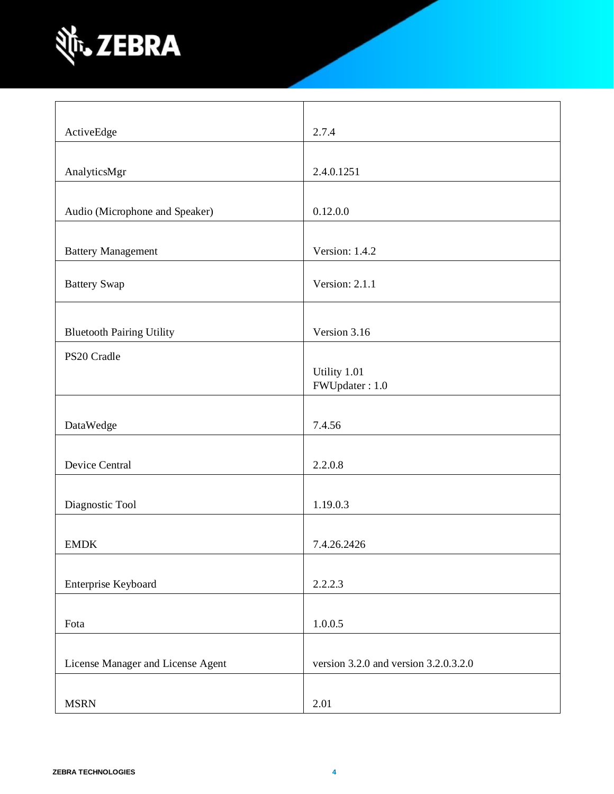

| ActiveEdge                        | 2.7.4                                     |
|-----------------------------------|-------------------------------------------|
|                                   |                                           |
| AnalyticsMgr                      | 2.4.0.1251                                |
|                                   |                                           |
| Audio (Microphone and Speaker)    | 0.12.0.0                                  |
|                                   |                                           |
| <b>Battery Management</b>         | Version: 1.4.2                            |
| <b>Battery Swap</b>               | Version: 2.1.1                            |
|                                   |                                           |
| <b>Bluetooth Pairing Utility</b>  | Version 3.16                              |
| PS20 Cradle                       |                                           |
|                                   | Utility 1.01                              |
|                                   | FWUpdater: 1.0                            |
|                                   |                                           |
| DataWedge                         | 7.4.56                                    |
|                                   |                                           |
| Device Central                    | 2.2.0.8                                   |
| Diagnostic Tool                   | 1.19.0.3                                  |
|                                   |                                           |
| <b>EMDK</b>                       | 7.4.26.2426                               |
|                                   |                                           |
| Enterprise Keyboard               | 2.2.2.3                                   |
|                                   |                                           |
| Fota                              | 1.0.0.5                                   |
|                                   |                                           |
| License Manager and License Agent | version $3.2.0$ and version $3.2.0.3.2.0$ |
|                                   |                                           |
| <b>MSRN</b>                       | 2.01                                      |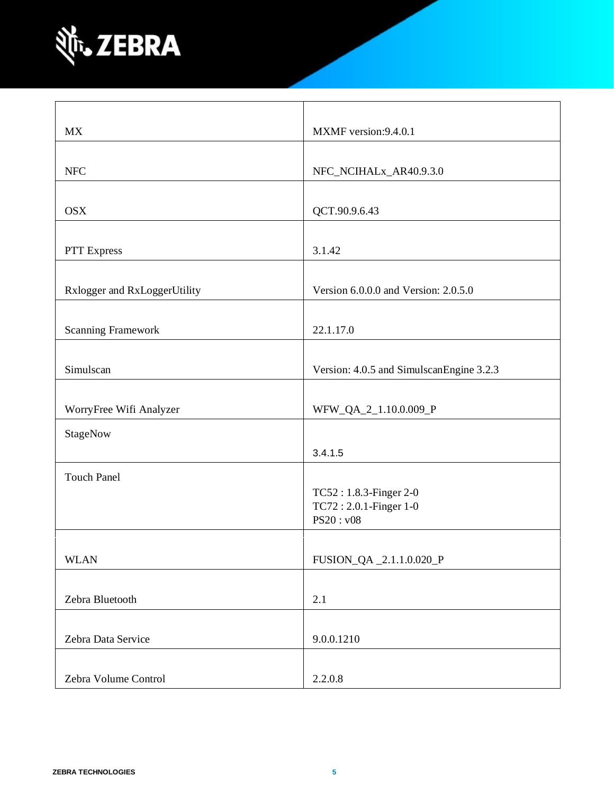

| MX                           | MXMF version:9.4.0.1                     |
|------------------------------|------------------------------------------|
|                              |                                          |
| <b>NFC</b>                   | NFC_NCIHALx_AR40.9.3.0                   |
|                              |                                          |
| <b>OSX</b>                   | QCT.90.9.6.43                            |
|                              |                                          |
| PTT Express                  | 3.1.42                                   |
|                              |                                          |
| Rxlogger and RxLoggerUtility | Version 6.0.0.0 and Version: 2.0.5.0     |
|                              |                                          |
| <b>Scanning Framework</b>    | 22.1.17.0                                |
|                              |                                          |
| Simulscan                    | Version: 4.0.5 and SimulscanEngine 3.2.3 |
|                              |                                          |
| WorryFree Wifi Analyzer      | WFW_QA_2_1.10.0.009_P                    |
| StageNow                     |                                          |
|                              | 3.4.1.5                                  |
| <b>Touch Panel</b>           |                                          |
|                              | TC52: 1.8.3-Finger 2-0                   |
|                              | TC72: 2.0.1-Finger 1-0                   |
|                              | PS20: v08                                |
|                              |                                          |
| <b>WLAN</b>                  | FUSION_QA_2.1.1.0.020_P                  |
|                              |                                          |
| Zebra Bluetooth              | 2.1                                      |
|                              |                                          |
| Zebra Data Service           | 9.0.0.1210                               |
|                              |                                          |
| Zebra Volume Control         | 2.2.0.8                                  |